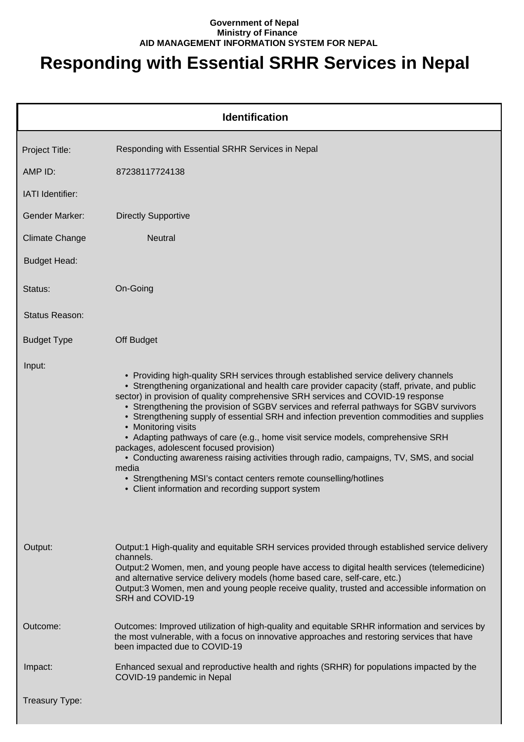## **Government of Nepal Ministry of Finance AID MANAGEMENT INFORMATION SYSTEM FOR NEPAL**

## **Responding with Essential SRHR Services in Nepal**

|                       | <b>Identification</b>                                                                                                                                                                                                                                                                                                                                                                                                                                                                                                                                                                                                                                                                                                                                                                                                                              |
|-----------------------|----------------------------------------------------------------------------------------------------------------------------------------------------------------------------------------------------------------------------------------------------------------------------------------------------------------------------------------------------------------------------------------------------------------------------------------------------------------------------------------------------------------------------------------------------------------------------------------------------------------------------------------------------------------------------------------------------------------------------------------------------------------------------------------------------------------------------------------------------|
| Project Title:        | Responding with Essential SRHR Services in Nepal                                                                                                                                                                                                                                                                                                                                                                                                                                                                                                                                                                                                                                                                                                                                                                                                   |
| AMP ID:               | 87238117724138                                                                                                                                                                                                                                                                                                                                                                                                                                                                                                                                                                                                                                                                                                                                                                                                                                     |
| IATI Identifier:      |                                                                                                                                                                                                                                                                                                                                                                                                                                                                                                                                                                                                                                                                                                                                                                                                                                                    |
| <b>Gender Marker:</b> | <b>Directly Supportive</b>                                                                                                                                                                                                                                                                                                                                                                                                                                                                                                                                                                                                                                                                                                                                                                                                                         |
| <b>Climate Change</b> | <b>Neutral</b>                                                                                                                                                                                                                                                                                                                                                                                                                                                                                                                                                                                                                                                                                                                                                                                                                                     |
| <b>Budget Head:</b>   |                                                                                                                                                                                                                                                                                                                                                                                                                                                                                                                                                                                                                                                                                                                                                                                                                                                    |
| Status:               | On-Going                                                                                                                                                                                                                                                                                                                                                                                                                                                                                                                                                                                                                                                                                                                                                                                                                                           |
| <b>Status Reason:</b> |                                                                                                                                                                                                                                                                                                                                                                                                                                                                                                                                                                                                                                                                                                                                                                                                                                                    |
| <b>Budget Type</b>    | Off Budget                                                                                                                                                                                                                                                                                                                                                                                                                                                                                                                                                                                                                                                                                                                                                                                                                                         |
| Input:                | • Providing high-quality SRH services through established service delivery channels<br>• Strengthening organizational and health care provider capacity (staff, private, and public<br>sector) in provision of quality comprehensive SRH services and COVID-19 response<br>• Strengthening the provision of SGBV services and referral pathways for SGBV survivors<br>• Strengthening supply of essential SRH and infection prevention commodities and supplies<br>• Monitoring visits<br>• Adapting pathways of care (e.g., home visit service models, comprehensive SRH<br>packages, adolescent focused provision)<br>• Conducting awareness raising activities through radio, campaigns, TV, SMS, and social<br>media<br>• Strengthening MSI's contact centers remote counselling/hotlines<br>• Client information and recording support system |
| Output:               | Output:1 High-quality and equitable SRH services provided through established service delivery<br>channels.<br>Output:2 Women, men, and young people have access to digital health services (telemedicine)<br>and alternative service delivery models (home based care, self-care, etc.)<br>Output:3 Women, men and young people receive quality, trusted and accessible information on<br>SRH and COVID-19                                                                                                                                                                                                                                                                                                                                                                                                                                        |
| Outcome:              | Outcomes: Improved utilization of high-quality and equitable SRHR information and services by<br>the most vulnerable, with a focus on innovative approaches and restoring services that have<br>been impacted due to COVID-19                                                                                                                                                                                                                                                                                                                                                                                                                                                                                                                                                                                                                      |
| Impact:               | Enhanced sexual and reproductive health and rights (SRHR) for populations impacted by the<br>COVID-19 pandemic in Nepal                                                                                                                                                                                                                                                                                                                                                                                                                                                                                                                                                                                                                                                                                                                            |
| Treasury Type:        |                                                                                                                                                                                                                                                                                                                                                                                                                                                                                                                                                                                                                                                                                                                                                                                                                                                    |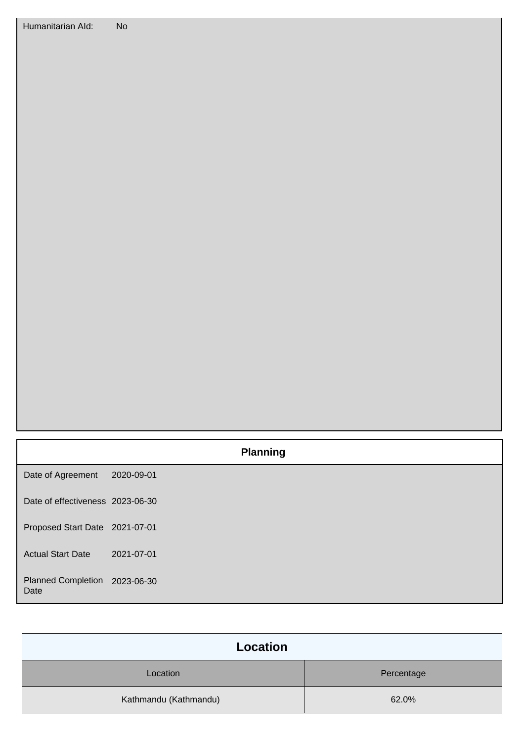|                                       |            | <b>Planning</b> |
|---------------------------------------|------------|-----------------|
| Date of Agreement                     | 2020-09-01 |                 |
| Date of effectiveness 2023-06-30      |            |                 |
| Proposed Start Date 2021-07-01        |            |                 |
| <b>Actual Start Date</b>              | 2021-07-01 |                 |
| Planned Completion 2023-06-30<br>Date |            |                 |

| <b>Location</b>       |            |
|-----------------------|------------|
| Location              | Percentage |
| Kathmandu (Kathmandu) | 62.0%      |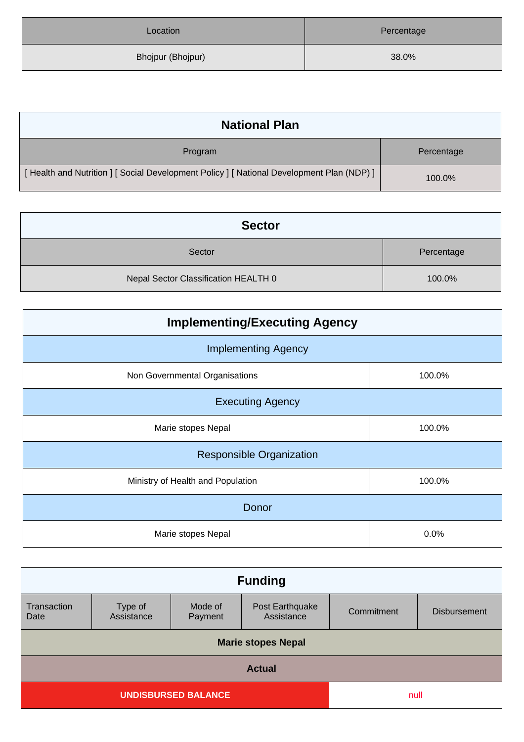| Location          | Percentage |
|-------------------|------------|
| Bhojpur (Bhojpur) | 38.0%      |

| <b>National Plan</b>                                                                    |            |
|-----------------------------------------------------------------------------------------|------------|
| Program                                                                                 | Percentage |
| [Health and Nutrition ] [Social Development Policy ] [National Development Plan (NDP) ] | 100.0%     |

| <b>Sector</b>                        |            |
|--------------------------------------|------------|
| Sector                               | Percentage |
| Nepal Sector Classification HEALTH 0 | 100.0%     |

| <b>Implementing/Executing Agency</b> |        |  |
|--------------------------------------|--------|--|
| <b>Implementing Agency</b>           |        |  |
| Non Governmental Organisations       | 100.0% |  |
| <b>Executing Agency</b>              |        |  |
| Marie stopes Nepal                   | 100.0% |  |
| <b>Responsible Organization</b>      |        |  |
| Ministry of Health and Population    | 100.0% |  |
| Donor                                |        |  |
| Marie stopes Nepal                   | 0.0%   |  |

| <b>Funding</b>                     |                       |                    |                               |            |                     |
|------------------------------------|-----------------------|--------------------|-------------------------------|------------|---------------------|
| Transaction<br>Date                | Type of<br>Assistance | Mode of<br>Payment | Post Earthquake<br>Assistance | Commitment | <b>Disbursement</b> |
| <b>Marie stopes Nepal</b>          |                       |                    |                               |            |                     |
| <b>Actual</b>                      |                       |                    |                               |            |                     |
| <b>UNDISBURSED BALANCE</b><br>null |                       |                    |                               |            |                     |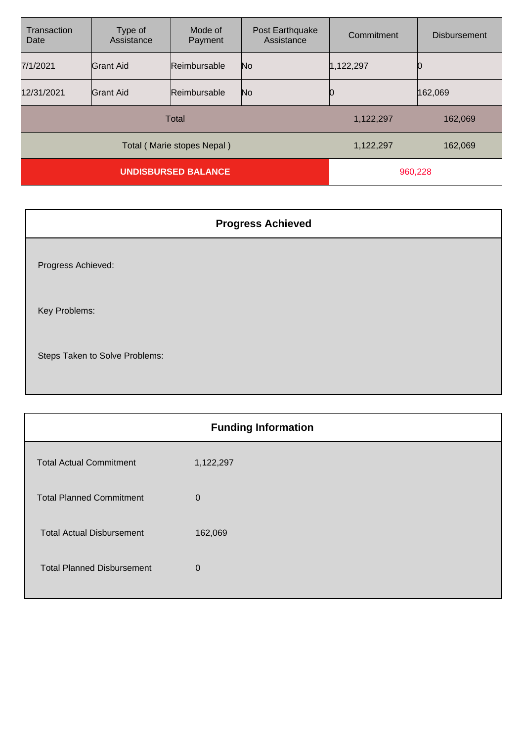| Transaction<br>Date        | Type of<br>Assistance | Mode of<br>Payment | Post Earthquake<br>Assistance | Commitment | <b>Disbursement</b> |
|----------------------------|-----------------------|--------------------|-------------------------------|------------|---------------------|
| 7/1/2021                   | <b>Grant Aid</b>      | Reimbursable       | N <sub>o</sub>                | 1,122,297  |                     |
| 12/31/2021                 | Grant Aid             | Reimbursable       | N <sub>o</sub>                |            | 162,069             |
| Total                      |                       |                    |                               | 1,122,297  | 162,069             |
| Total (Marie stopes Nepal) |                       |                    |                               | 1,122,297  | 162,069             |
| <b>UNDISBURSED BALANCE</b> |                       |                    | 960,228                       |            |                     |

| <b>Progress Achieved</b>       |
|--------------------------------|
| Progress Achieved:             |
| Key Problems:                  |
| Steps Taken to Solve Problems: |

| <b>Funding Information</b>        |              |  |
|-----------------------------------|--------------|--|
| <b>Total Actual Commitment</b>    | 1,122,297    |  |
| <b>Total Planned Commitment</b>   | $\Omega$     |  |
| <b>Total Actual Disbursement</b>  | 162,069      |  |
| <b>Total Planned Disbursement</b> | $\mathbf{0}$ |  |
|                                   |              |  |